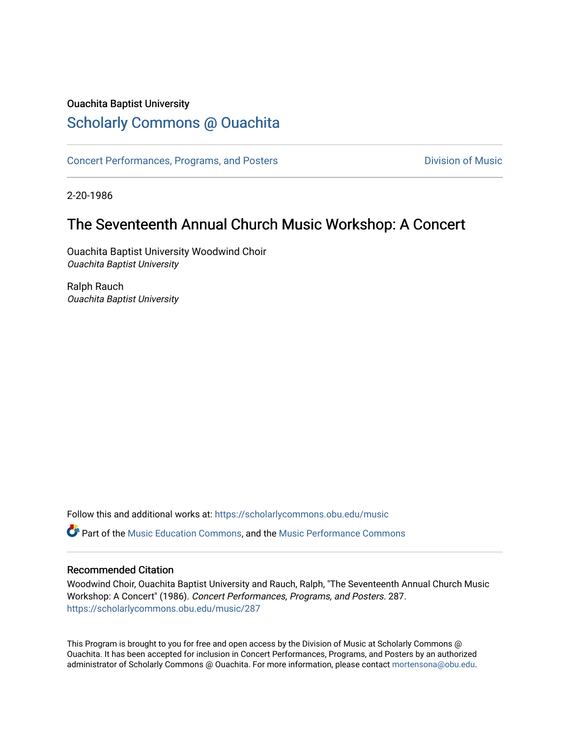#### Ouachita Baptist University

## [Scholarly Commons @ Ouachita](https://scholarlycommons.obu.edu/)

[Concert Performances, Programs, and Posters](https://scholarlycommons.obu.edu/music) **Division of Music** Division of Music

2-20-1986

### The Seventeenth Annual Church Music Workshop: A Concert

Ouachita Baptist University Woodwind Choir Ouachita Baptist University

Ralph Rauch Ouachita Baptist University

Follow this and additional works at: [https://scholarlycommons.obu.edu/music](https://scholarlycommons.obu.edu/music?utm_source=scholarlycommons.obu.edu%2Fmusic%2F287&utm_medium=PDF&utm_campaign=PDFCoverPages)  **C** Part of the [Music Education Commons,](http://network.bepress.com/hgg/discipline/1246?utm_source=scholarlycommons.obu.edu%2Fmusic%2F287&utm_medium=PDF&utm_campaign=PDFCoverPages) and the Music Performance Commons

#### Recommended Citation

Woodwind Choir, Ouachita Baptist University and Rauch, Ralph, "The Seventeenth Annual Church Music Workshop: A Concert" (1986). Concert Performances, Programs, and Posters. 287. [https://scholarlycommons.obu.edu/music/287](https://scholarlycommons.obu.edu/music/287?utm_source=scholarlycommons.obu.edu%2Fmusic%2F287&utm_medium=PDF&utm_campaign=PDFCoverPages) 

This Program is brought to you for free and open access by the Division of Music at Scholarly Commons @ Ouachita. It has been accepted for inclusion in Concert Performances, Programs, and Posters by an authorized administrator of Scholarly Commons @ Ouachita. For more information, please contact [mortensona@obu.edu](mailto:mortensona@obu.edu).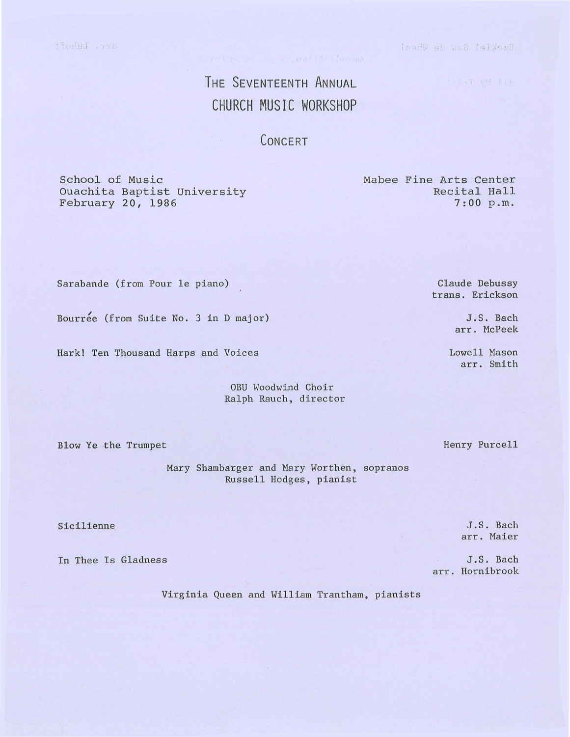Bzekiel Saw de Wheel

TelyT wM TIA

# THE SEVENTEENTH ANNUAL CHURCH MUSIC WORKSHOP

**CONCERT** 

School of Music Ouachita Baptist University February 20, 1986

Recital Hall 7:00 p.m.

Mabee Fine Arts Center

Sarabande (from Pour le piano)

Bourree (from Suite No. 3 in D major)

Hark! Ten Thousand Harps and Voices

OBU Woodwind Choir Ralph Rauch, director

Blow Ye the Trumpet

Mary Shambarger and Mary Worthen, sopranos Russell Hodges, pianist

Sicilienne

In Thee Is Gladness

Virginia Queen and William Trantham, pianists

Claude Debussy trans. Erickson

> J.S. Bach arr. McPeek

Lowell Mason arr. Smith

Henry Purcell

J.S. Bach arr. Maier

J.S. Bach arr. Hornibrook